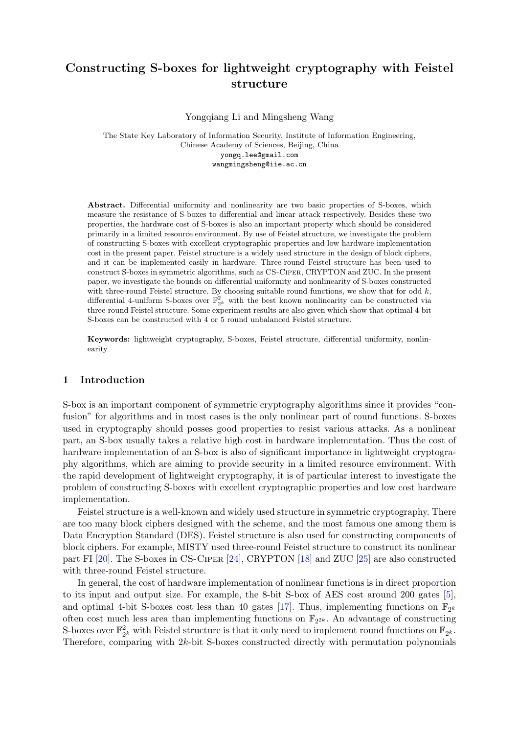# Constructing S-boxes for lightweight cryptography with Feistel structure

Yongqiang Li and Mingsheng Wang

The State Key Laboratory of Information Security, Institute of Information Engineering, Chinese Academy of Sciences, Beijing, China yongq.lee@gmail.com wangmingsheng@iie.ac.cn

Abstract. Differential uniformity and nonlinearity are two basic properties of S-boxes, which measure the resistance of S-boxes to differential and linear attack respectively. Besides these two properties, the hardware cost of S-boxes is also an important property which should be considered primarily in a limited resource environment. By use of Feistel structure, we investigate the problem of constructing S-boxes with excellent cryptographic properties and low hardware implementation cost in the present paper. Feistel structure is a widely used structure in the design of block ciphers, and it can be implemented easily in hardware. Three-round Feistel structure has been used to construct S-boxes in symmetric algorithms, such as CS-Ciper, CRYPTON and ZUC. In the present paper, we investigate the bounds on differential uniformity and nonlinearity of S-boxes constructed with three-round Feistel structure. By choosing suitable round functions, we show that for odd  $k$ , differential 4-uniform S-boxes over  $\mathbb{F}_{2^k}^2$  with the best known nonlinearity can be constructed via three-round Feistel structure. Some experiment results are also given which show that optimal 4-bit S-boxes can be constructed with 4 or 5 round unbalanced Feistel structure.

Keywords: lightweight cryptography, S-boxes, Feistel structure, differential uniformity, nonlinearity

# 1 Introduction

S-box is an important component of symmetric cryptography algorithms since it provides "confusion" for algorithms and in most cases is the only nonlinear part of round functions. S-boxes used in cryptography should posses good properties to resist various attacks. As a nonlinear part, an S-box usually takes a relative high cost in hardware implementation. Thus the cost of hardware implementation of an S-box is also of significant importance in lightweight cryptography algorithms, which are aiming to provide security in a limited resource environment. With the rapid development of lightweight cryptography, it is of particular interest to investigate the problem of constructing S-boxes with excellent cryptographic properties and low cost hardware implementation.

Feistel structure is a well-known and widely used structure in symmetric cryptography. There are too many block ciphers designed with the scheme, and the most famous one among them is Data Encryption Standard (DES). Feistel structure is also used for constructing components of block ciphers. For example, MISTY used three-round Feistel structure to construct its nonlinear part FI [\[20\]](#page-15-0). The S-boxes in CS-Ciper [\[24\]](#page-15-1), CRYPTON [\[18\]](#page-15-2) and ZUC [\[25\]](#page-15-3) are also constructed with three-round Feistel structure.

In general, the cost of hardware implementation of nonlinear functions is in direct proportion to its input and output size. For example, the 8-bit S-box of AES cost around 200 gates [\[5\]](#page-15-4), and optimal 4-bit S-boxes cost less than 40 gates [\[17\]](#page-15-5). Thus, implementing functions on  $\mathbb{F}_{2^k}$ often cost much less area than implementing functions on  $\mathbb{F}_{2^{2k}}$ . An advantage of constructing S-boxes over  $\mathbb{F}_2^2$  $2_k$  with Feistel structure is that it only need to implement round functions on  $\mathbb{F}_{2^k}$ . Therefore, comparing with 2k-bit S-boxes constructed directly with permutation polynomials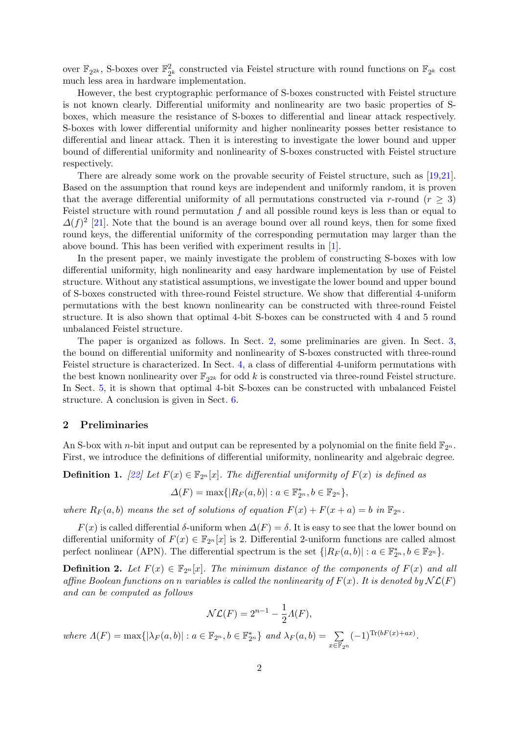over  $\mathbb{F}_{2^{2k}}$ , S-boxes over  $\mathbb{F}_2^2$  $2\over 2^k$  constructed via Feistel structure with round functions on  $\mathbb{F}_{2^k}$  cost much less area in hardware implementation.

However, the best cryptographic performance of S-boxes constructed with Feistel structure is not known clearly. Differential uniformity and nonlinearity are two basic properties of Sboxes, which measure the resistance of S-boxes to differential and linear attack respectively. S-boxes with lower differential uniformity and higher nonlinearity posses better resistance to differential and linear attack. Then it is interesting to investigate the lower bound and upper bound of differential uniformity and nonlinearity of S-boxes constructed with Feistel structure respectively.

There are already some work on the provable security of Feistel structure, such as [\[19,](#page-15-6)[21\]](#page-15-7). Based on the assumption that round keys are independent and uniformly random, it is proven that the average differential uniformity of all permutations constructed via r-round ( $r \geq 3$ ) Feistel structure with round permutation  $f$  and all possible round keys is less than or equal to  $\Delta(f)^2$  [\[21\]](#page-15-7). Note that the bound is an average bound over all round keys, then for some fixed round keys, the differential uniformity of the corresponding permutation may larger than the above bound. This has been verified with experiment results in [\[1\]](#page-15-8).

In the present paper, we mainly investigate the problem of constructing S-boxes with low differential uniformity, high nonlinearity and easy hardware implementation by use of Feistel structure. Without any statistical assumptions, we investigate the lower bound and upper bound of S-boxes constructed with three-round Feistel structure. We show that differential 4-uniform permutations with the best known nonlinearity can be constructed with three-round Feistel structure. It is also shown that optimal 4-bit S-boxes can be constructed with 4 and 5 round unbalanced Feistel structure.

The paper is organized as follows. In Sect. [2,](#page-1-0) some preliminaries are given. In Sect. [3,](#page-2-0) the bound on differential uniformity and nonlinearity of S-boxes constructed with three-round Feistel structure is characterized. In Sect. [4,](#page-5-0) a class of differential 4-uniform permutations with the best known nonlinearity over  $\mathbb{F}_{2^{2k}}$  for odd k is constructed via three-round Feistel structure. In Sect. [5,](#page-12-0) it is shown that optimal 4-bit S-boxes can be constructed with unbalanced Feistel structure. A conclusion is given in Sect. [6.](#page-14-0)

### <span id="page-1-0"></span>2 Preliminaries

An S-box with *n*-bit input and output can be represented by a polynomial on the finite field  $\mathbb{F}_{2^n}$ . First, we introduce the definitions of differential uniformity, nonlinearity and algebraic degree.

**Definition 1.** [\[22\]](#page-15-9) Let  $F(x) \in \mathbb{F}_{2^n}[x]$ . The differential uniformity of  $F(x)$  is defined as

$$
\Delta(F) = \max\{|R_F(a,b)| : a \in \mathbb{F}_{2^n}^*, b \in \mathbb{F}_{2^n}\},\
$$

where  $R_F(a, b)$  means the set of solutions of equation  $F(x) + F(x + a) = b$  in  $\mathbb{F}_{2^n}$ .

 $F(x)$  is called differential  $\delta$ -uniform when  $\Delta(F) = \delta$ . It is easy to see that the lower bound on differential uniformity of  $F(x) \in \mathbb{F}_{2^n}[x]$  is 2. Differential 2-uniform functions are called almost perfect nonlinear (APN). The differential spectrum is the set  $\{|R_F(a,b)| : a \in \mathbb{F}_{2^n}^*, b \in \mathbb{F}_{2^n}\}.$ 

**Definition 2.** Let  $F(x) \in \mathbb{F}_{2^n}[x]$ . The minimum distance of the components of  $F(x)$  and all affine Boolean functions on n variables is called the nonlinearity of  $F(x)$ . It is denoted by  $\mathcal{N}\mathcal{L}(F)$ and can be computed as follows

$$
\mathcal{NL}(F) = 2^{n-1} - \frac{1}{2}\Lambda(F),
$$

where  $\Lambda(F) = \max\{|\lambda_F(a, b)| : a \in \mathbb{F}_{2^n}, b \in \mathbb{F}_{2^n}^*\}$  and  $\lambda_F(a, b) = \sum_{x \in \mathbb{F}_{2^n}} (-1)^{\text{Tr}(bF(x) + ax)}$ .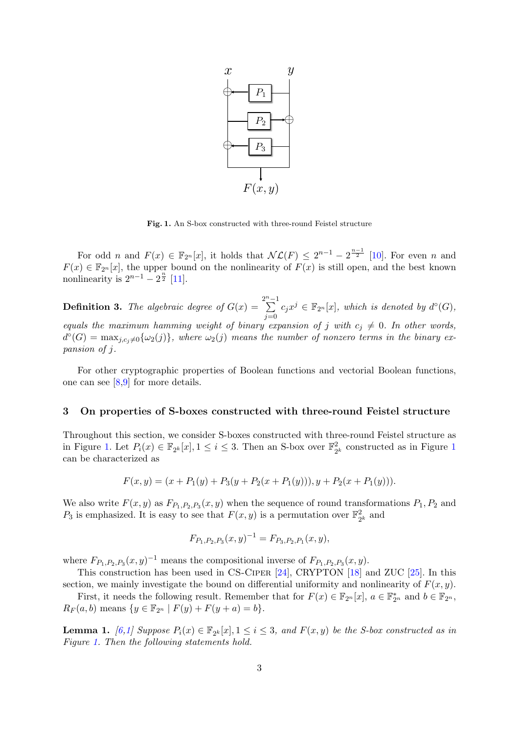

<span id="page-2-1"></span>Fig. 1. An S-box constructed with three-round Feistel structure

For odd n and  $F(x) \in \mathbb{F}_{2^n}[x]$ , it holds that  $\mathcal{NL}(F) \leq 2^{n-1} - 2^{\frac{n-1}{2}}$  [\[10\]](#page-15-10). For even n and  $F(x) \in \mathbb{F}_{2^n}[x]$ , the upper bound on the nonlinearity of  $F(x)$  is still open, and the best known nonlinearity is  $2^{n-1} - 2^{\frac{n}{2}}$  [\[11\]](#page-15-11).

**Definition 3.** The algebraic degree of  $G(x) =$  $\sum_{n=1}^{n}$  $j=0$  $c_jx^j \in \mathbb{F}_{2^n}[x]$ , which is denoted by  $d^{\circ}(G)$ , equals the maximum hamming weight of binary expansion of j with  $c_j \neq 0$ . In other words,  $d^{\circ}(G) = \max_{j,c_j \neq 0} {\{\omega_2(j)\}}$ , where  $\omega_2(j)$  means the number of nonzero terms in the binary expansion of j.

For other cryptographic properties of Boolean functions and vectorial Boolean functions, one can see [\[8](#page-15-12)[,9\]](#page-15-13) for more details.

### <span id="page-2-0"></span>3 On properties of S-boxes constructed with three-round Feistel structure

Throughout this section, we consider S-boxes constructed with three-round Feistel structure as in Figure [1.](#page-2-1) Let  $P_i(x) \in \mathbb{F}_{2^k}[x], 1 \leq i \leq 3$ . Then an S-box over  $\mathbb{F}_2^2$  $2^2_{2^k}$  constructed as in Figure [1](#page-2-1) can be characterized as

$$
F(x,y) = (x + P_1(y) + P_3(y + P_2(x + P_1(y))), y + P_2(x + P_1(y))).
$$

We also write  $F(x, y)$  as  $F_{P_1, P_2, P_3}(x, y)$  when the sequence of round transformations  $P_1, P_2$  and  $P_3$  is emphasized. It is easy to see that  $F(x, y)$  is a permutation over  $\mathbb{F}_2^2$  $\frac{2}{2^k}$  and

$$
F_{P_1,P_2,P_3}(x,y)^{-1} = F_{P_3,P_2,P_1}(x,y),
$$

where  $F_{P_1, P_2, P_3}(x, y)^{-1}$  means the compositional inverse of  $F_{P_1, P_2, P_3}(x, y)$ .

This construction has been used in CS-Ciper [\[24\]](#page-15-1), CRYPTON [\[18\]](#page-15-2) and ZUC [\[25\]](#page-15-3). In this section, we mainly investigate the bound on differential uniformity and nonlinearity of  $F(x, y)$ .

First, it needs the following result. Remember that for  $F(x) \in \mathbb{F}_{2^n}[x]$ ,  $a \in \mathbb{F}_{2^n}^*$  and  $b \in \mathbb{F}_{2^n}$ ,  $R_F(a, b)$  means  $\{y \in \mathbb{F}_{2^n} \mid F(y) + F(y + a) = b\}.$ 

<span id="page-2-2"></span>**Lemma 1.** [\[6,](#page-15-14)[1\]](#page-15-8) Suppose  $P_i(x) \in \mathbb{F}_{2^k}[x]$ ,  $1 \leq i \leq 3$ , and  $F(x, y)$  be the S-box constructed as in Figure [1.](#page-2-1) Then the following statements hold.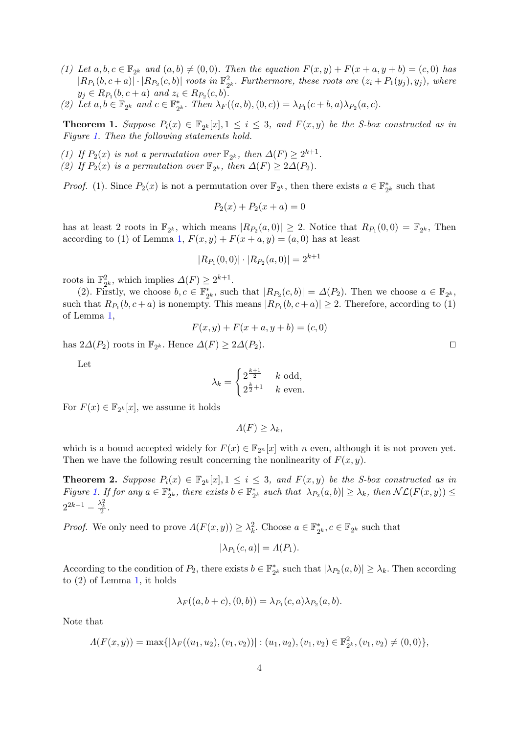- (1) Let  $a, b, c \in \mathbb{F}_{2^k}$  and  $(a, b) \neq (0, 0)$ . Then the equation  $F(x, y) + F(x + a, y + b) = (c, 0)$  has  $|R_{P_1}(b,c+a)|\cdot|R_{P_2}(c,b)|$  roots in  $\mathbb{F}_2^2$  $x_{2^k}^2$ . Furthermore, these roots are  $(z_i + P_1(y_j), y_j)$ , where  $y_j \in R_{P_1}(b, c + a)$  and  $z_i \in R_{P_2}(c, b)$ .
- (2) Let  $a, b \in \mathbb{F}_{2^k}$  and  $c \in \mathbb{F}_2^*$  $\lambda_{2^k}$ . Then  $\lambda_F((a, b), (0, c)) = \lambda_{P_1}(c + b, a)\lambda_{P_2}(a, c)$ .

<span id="page-3-0"></span>**Theorem 1.** Suppose  $P_i(x) \in \mathbb{F}_{2^k}[x], 1 \leq i \leq 3$ , and  $F(x, y)$  be the S-box constructed as in Figure [1.](#page-2-1) Then the following statements hold.

(1) If  $P_2(x)$  is not a permutation over  $\mathbb{F}_{2^k}$ , then  $\Delta(F) \geq 2^{k+1}$ .

(2) If  $P_2(x)$  is a permutation over  $\mathbb{F}_{2^k}$ , then  $\Delta(F) \geq 2\Delta(P_2)$ .

*Proof.* (1). Since  $P_2(x)$  is not a permutation over  $\mathbb{F}_{2^k}$ , then there exists  $a \in \mathbb{F}_2^*$  $x_2^*$  such that

$$
P_2(x) + P_2(x + a) = 0
$$

has at least 2 roots in  $\mathbb{F}_{2^k}$ , which means  $|R_{P_2}(a,0)| \geq 2$ . Notice that  $R_{P_1}(0,0) = \mathbb{F}_{2^k}$ , Then according to (1) of Lemma [1,](#page-2-2)  $F(x, y) + F(x + a, y) = (a, 0)$  has at least

$$
|R_{P_1}(0,0)| \cdot |R_{P_2}(a,0)| = 2^{k+1}
$$

roots in  $\mathbb{F}_2^2$  $2^2_{2^k}$ , which implies  $\Delta(F) \geq 2^{k+1}$ .

(2). Firstly, we choose  $b, c \in \mathbb{F}_2^*$  $E_{2^k}^*$ , such that  $|R_{P_2}(c, b)| = \Delta(P_2)$ . Then we choose  $a \in \mathbb{F}_{2^k}$ , such that  $R_{P_1}(b, c + a)$  is nonempty. This means  $|R_{P_1}(b, c + a)| \ge 2$ . Therefore, according to (1) of Lemma [1,](#page-2-2)

$$
F(x, y) + F(x + a, y + b) = (c, 0)
$$

has  $2\Delta(P_2)$  roots in  $\mathbb{F}_{2^k}$ . Hence  $\Delta(F) \geq 2\Delta(P_2)$ .

Let

$$
\lambda_k = \begin{cases} 2^{\frac{k+1}{2}} & k \text{ odd,} \\ 2^{\frac{k}{2}+1} & k \text{ even.} \end{cases}
$$

For  $F(x) \in \mathbb{F}_{2^k}[x]$ , we assume it holds

 $\Lambda(F) > \lambda_k$ ,

which is a bound accepted widely for  $F(x) \in \mathbb{F}_{2^n}[x]$  with n even, although it is not proven yet. Then we have the following result concerning the nonlinearity of  $F(x, y)$ .

<span id="page-3-1"></span>**Theorem 2.** Suppose  $P_i(x) \in \mathbb{F}_{2^k}[x], 1 \leq i \leq 3$ , and  $F(x, y)$  be the S-box constructed as in Figure [1.](#page-2-1) If for any  $a \in \mathbb{F}_2^*$  $x_{2^k}^*$ , there exists  $b \in \mathbb{F}_2^*$  $\sum_{2^k}$  such that  $|\lambda_{P_2}(a,b)| \geq \lambda_k$ , then  $\mathcal{NL}(F(x,y)) \leq$  $2^{2k-1} - \frac{\lambda_k^2}{2}.$ 

*Proof.* We only need to prove  $\Lambda(F(x, y)) \geq \lambda_k^2$ . Choose  $a \in \mathbb{F}_2^*$  $x_2^*, c \in \mathbb{F}_{2^k}$  such that

$$
|\lambda_{P_1}(c,a)| = \Lambda(P_1).
$$

According to the condition of  $P_2$ , there exists  $b \in \mathbb{F}_2^*$  $\lambda_{2^k}$  such that  $|\lambda_{P_2}(a, b)| \geq \lambda_k$ . Then according to (2) of Lemma [1,](#page-2-2) it holds

$$
\lambda_F((a,b+c),(0,b)) = \lambda_{P_1}(c,a)\lambda_{P_2}(a,b).
$$

Note that

$$
\Lambda(F(x,y)) = \max\{|\lambda_F((u_1,u_2),(v_1,v_2))| : (u_1,u_2),(v_1,v_2) \in \mathbb{F}_{2^k}^2, (v_1,v_2) \neq (0,0)\},\
$$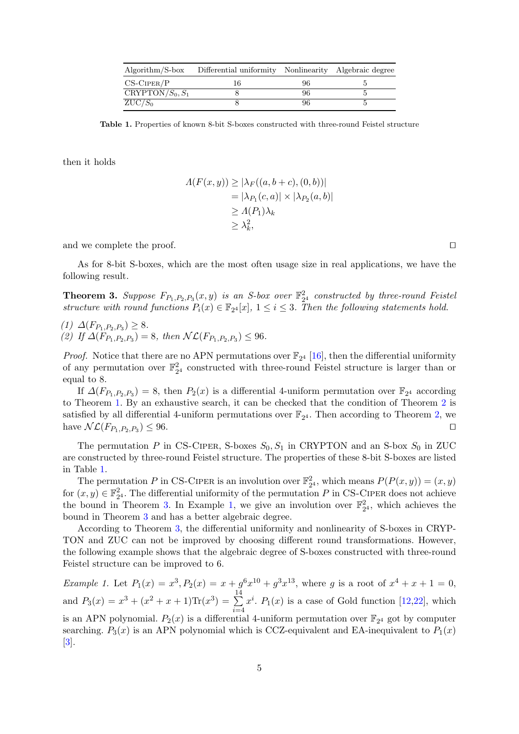|                    | Algorithm/S-box Differential uniformity Nonlinearity Algebraic degree |    |  |
|--------------------|-----------------------------------------------------------------------|----|--|
| $CS$ -Ciper/P      |                                                                       | 96 |  |
| $CRYPTON/S_0, S_1$ |                                                                       | 96 |  |
| $ZUC/S_0$          |                                                                       | 96 |  |

<span id="page-4-0"></span>Table 1. Properties of known 8-bit S-boxes constructed with three-round Feistel structure

then it holds

$$
\Lambda(F(x, y)) \geq |\lambda_F((a, b+c), (0, b))|
$$
  
=  $|\lambda_{P_1}(c, a)| \times |\lambda_{P_2}(a, b)|$   
 $\geq \Lambda(P_1)\lambda_k$   
 $\geq \lambda_k^2$ ,

and we complete the proof.  $\Box$ 

As for 8-bit S-boxes, which are the most often usage size in real applications, we have the following result.

<span id="page-4-1"></span>**Theorem 3.** Suppose  $F_{P_1,P_2,P_3}(x, y)$  is an S-box over  $\mathbb{F}_{2^4}^2$  constructed by three-round Feister structure with round functions  $P_i(x) \in \mathbb{F}_{2^4}[x]$ ,  $1 \leq i \leq 3$ . Then the following statements hold.

(1)  $\Delta(F_{P_1,P_2,P_3})$  ≥ 8. (2) If  $\Delta(F_{P_1,P_2,P_3}) = 8$ , then  $\mathcal{NL}(F_{P_1,P_2,P_3}) \leq 96$ .

*Proof.* Notice that there are no APN permutations over  $\mathbb{F}_{2^4}$  [\[16\]](#page-15-15), then the differential uniformity of any permutation over  $\mathbb{F}_{2^4}^2$  constructed with three-round Feistel structure is larger than or equal to 8.

If  $\Delta(F_{P_1,P_2,P_3}) = 8$ , then  $P_2(x)$  is a differential 4-uniform permutation over  $\mathbb{F}_{2^4}$  according to Theorem [1.](#page-3-0) By an exhaustive search, it can be checked that the condition of Theorem [2](#page-3-1) is satisfied by all differential 4-uniform permutations over  $\mathbb{F}_{2^4}$ . Then according to Theorem [2,](#page-3-1) we have  $\mathcal{NL}(F_{P_1,P_2,P_3}) \leq 96$ .  $) \leq 96.$ 

The permutation P in CS-CIPER, S-boxes  $S_0, S_1$  in CRYPTON and an S-box  $S_0$  in ZUC are constructed by three-round Feistel structure. The properties of these 8-bit S-boxes are listed in Table [1.](#page-4-0)

The permutation P in CS-CIPER is an involution over  $\mathbb{F}_{2^4}^2$ , which means  $P(P(x, y)) = (x, y)$ for  $(x, y) \in \mathbb{F}_{2^4}^2$ . The differential uniformity of the permutation P in CS-CIPER does not achieve the bound in Theorem [3.](#page-4-1) In Example [1,](#page-4-2) we give an involution over  $\mathbb{F}_{2^4}^2$ , which achieves the bound in Theorem [3](#page-4-1) and has a better algebraic degree.

According to Theorem [3,](#page-4-1) the differential uniformity and nonlinearity of S-boxes in CRYP-TON and ZUC can not be improved by choosing different round transformations. However, the following example shows that the algebraic degree of S-boxes constructed with three-round Feistel structure can be improved to 6.

<span id="page-4-2"></span>*Example 1.* Let  $P_1(x) = x^3$ ,  $P_2(x) = x + g^6 x^{10} + g^3 x^{13}$ , where g is a root of  $x^4 + x + 1 = 0$ , and  $P_3(x) = x^3 + (x^2 + x + 1) \text{Tr}(x^3) = \sum_{n=1}^{14}$  $i=4$  $x^i$ .  $P_1(x)$  is a case of Gold function [\[12,](#page-15-16)[22\]](#page-15-9), which is an APN polynomial.  $P_2(x)$  is a differential 4-uniform permutation over  $\mathbb{F}_{2^4}$  got by computer searching.  $P_3(x)$  is an APN polynomial which is CCZ-equivalent and EA-inequivalent to  $P_1(x)$ [\[3\]](#page-15-17).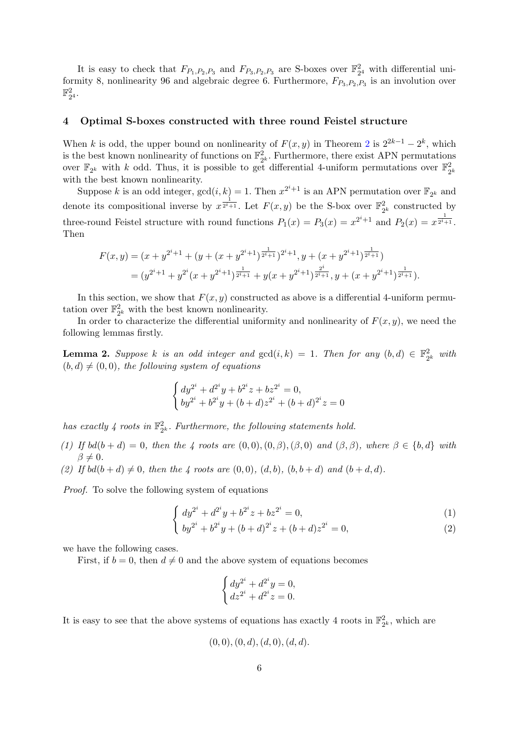It is easy to check that  $F_{P_1,P_2,P_3}$  and  $F_{P_3,P_2,P_3}$  are S-boxes over  $\mathbb{F}_{2^4}^2$  with differential uniformity 8, nonlinearity 96 and algebraic degree 6. Furthermore,  $F_{P_3, P_2, P_3}$  is an involution over  $\mathbb{F}_{2^4}^2$ .

# <span id="page-5-0"></span>4 Optimal S-boxes constructed with three round Feistel structure

When k is odd, the upper bound on nonlinearity of  $F(x, y)$  in Theorem [2](#page-3-1) is  $2^{2k-1} - 2^k$ , which is the best known nonlinearity of functions on  $\mathbb{F}_2^2$  $2<sub>2</sub><sup>2</sup>$ . Furthermore, there exist APN permutations over  $\mathbb{F}_{2^k}$  with k odd. Thus, it is possible to get differential 4-uniform permutations over  $\mathbb{F}_2^2$  $2<sup>k</sup>$ with the best known nonlinearity.

Suppose k is an odd integer,  $gcd(i, k) = 1$ . Then  $x^{2^{i}+1}$  is an APN permutation over  $\mathbb{F}_{2^{k}}$  and denote its compositional inverse by  $x^{\frac{1}{2^{i+1}}}$ . Let  $F(x, y)$  be the S-box over  $\mathbb{F}_2^2$  $\frac{2}{2^k}$  constructed by three-round Feistel structure with round functions  $P_1(x) = P_3(x) = x^{2^i+1}$  and  $P_2(x) = x^{\frac{1}{2^i+1}}$ . Then

$$
F(x,y) = (x + y^{2^{i}+1} + (y + (x + y^{2^{i}+1})^{\frac{1}{2^{i}+1}})^{2^{i}+1}, y + (x + y^{2^{i}+1})^{\frac{1}{2^{i}+1}})
$$
  
= 
$$
(y^{2^{i}+1} + y^{2^{i}}(x + y^{2^{i}+1})^{\frac{1}{2^{i}+1}} + y(x + y^{2^{i}+1})^{\frac{2^{i}}{2^{i}+1}}, y + (x + y^{2^{i}+1})^{\frac{1}{2^{i}+1}}).
$$

In this section, we show that  $F(x, y)$  constructed as above is a differential 4-uniform permutation over  $\mathbb{F}_2^2$  $2_k^2$  with the best known nonlinearity.

In order to characterize the differential uniformity and nonlinearity of  $F(x, y)$ , we need the following lemmas firstly.

<span id="page-5-1"></span>**Lemma 2.** Suppose k is an odd integer and  $gcd(i,k) = 1$ . Then for any  $(b,d) \in \mathbb{F}_2^2$  $n_2^2$ <sub>k</sub> with  $(b, d) \neq (0, 0)$ , the following system of equations

$$
\begin{cases} dy^{2^i} + d^{2^i}y + b^{2^i}z + bz^{2^i} = 0, \\ by^{2^i} + b^{2^i}y + (b+d)z^{2^i} + (b+d)^{2^i}z = 0 \end{cases}
$$

has exactly 4 roots in  $\mathbb{F}_2^2$  $\frac{2}{2}$ k. Furthermore, the following statements hold.

- (1) If  $bd(b+d) = 0$ , then the 4 roots are  $(0,0), (0,\beta), (\beta,0)$  and  $(\beta,\beta)$ , where  $\beta \in \{b,d\}$  with  $\beta \neq 0$ .
- (2) If  $bd(b+d) \neq 0$ , then the 4 roots are  $(0,0)$ ,  $(d, b)$ ,  $(b, b+d)$  and  $(b+d, d)$ .

Proof. To solve the following system of equations

$$
\int dy^{2^i} + d^{2^i}y + b^{2^i}z + bz^{2^i} = 0,
$$
\n(1)

$$
\int by^{2^i} + b^{2^i}y + (b+d)^{2^i}z + (b+d)z^{2^i} = 0,
$$
\n(2)

we have the following cases.

First, if  $b = 0$ , then  $d \neq 0$  and the above system of equations becomes

$$
\begin{cases} dy^{2^i} + d^{2^i} y = 0, \\ dz^{2^i} + d^{2^i} z = 0. \end{cases}
$$

It is easy to see that the above systems of equations has exactly 4 roots in  $\mathbb{F}_2^2$  $x_2^2$ , which are

$$
(0,0), (0,d), (d,0), (d,d).
$$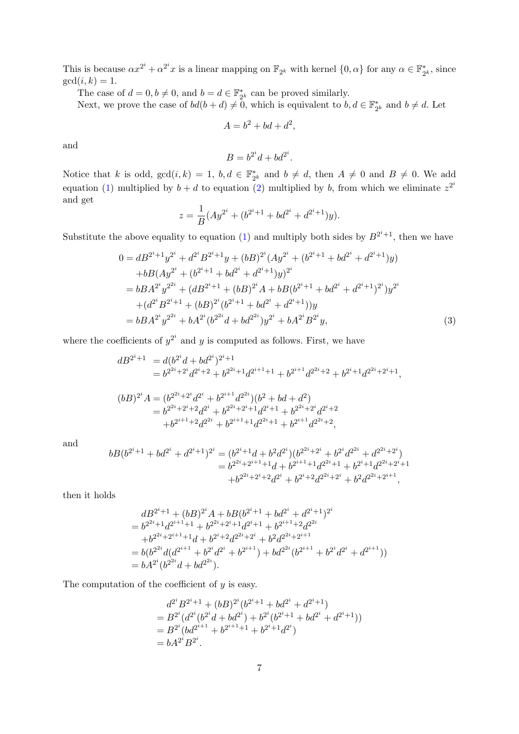This is because  $\alpha x^{2^i} + \alpha^{2^i} x$  is a linear mapping on  $\mathbb{F}_{2^k}$  with kernel  $\{0, \alpha\}$  for any  $\alpha \in \mathbb{F}_2^*$  $x_2^*$ , since  $gcd(i, k) = 1.$ 

The case of  $d = 0, b \neq 0$ , and  $b = d \in \mathbb{F}_2^*$  $x_{2^k}^*$  can be proved similarly.

Next, we prove the case of  $bd(b+d) \neq 0$ , which is equivalent to  $b, d \in \mathbb{F}_2^*$  $a_{2^k}^*$  and  $b \neq d$ . Let

$$
A = b^2 + bd + d^2,
$$

and

$$
B = b^{2^i}d + bd^{2^i}.
$$

Notice that k is odd,  $gcd(i, k) = 1, b, d \in \mathbb{F}_2^*$  $a_{2^k}^*$  and  $b \neq d$ , then  $A \neq 0$  and  $B \neq 0$ . We add equation [\(1\)](#page-5-1) multiplied by  $b + d$  to equation [\(2\)](#page-5-1) multiplied by b, from which we eliminate  $z^{2^i}$ and get

$$
z = \frac{1}{B}(Ay^{2^i} + (b^{2^i+1} + bd^{2^i} + d^{2^i+1})y).
$$

Substitute the above equality to equation [\(1\)](#page-5-1) and multiply both sides by  $B^{2^i+1}$ , then we have

<span id="page-6-0"></span>
$$
0 = dB^{2^{i}+1}y^{2^{i}} + d^{2^{i}}B^{2^{i}+1}y + (bB)^{2^{i}}(Ay^{2^{i}} + (b^{2^{i}+1} + bd^{2^{i}} + d^{2^{i}+1})y)
$$
  
+
$$
bB(Ay^{2^{i}} + (b^{2^{i}+1} + bd^{2^{i}} + d^{2^{i}+1})y)^{2^{i}}
$$
  
= 
$$
bBA^{2^{i}}y^{2^{2i}} + (dB^{2^{i}+1} + (bB)^{2^{i}}A + bB(b^{2^{i}+1} + bd^{2^{i}} + d^{2^{i}+1})^{2^{i}})y^{2^{i}}
$$
  
+
$$
(d^{2^{i}}B^{2^{i}+1} + (bB)^{2^{i}}(b^{2^{i}+1} + bd^{2^{i}} + d^{2^{i}+1}))y
$$
  
= 
$$
bBA^{2^{i}}y^{2^{2i}} + bA^{2^{i}}(b^{2^{2i}}d + bd^{2^{2i}})y^{2^{i}} + bA^{2^{i}}B^{2^{i}}y,
$$
 (3)

where the coefficients of  $y^{2^i}$  and y is computed as follows. First, we have

$$
dB^{2^{i}+1} = d(b^{2^{i}}d + bd^{2^{i}})^{2^{i}+1}
$$
  
\n
$$
= b^{2^{2i}+2^{i}}d^{2^{i}+2} + b^{2^{2i}+1}d^{2^{i+1}+1} + b^{2^{i+1}}d^{2^{2i}+2} + b^{2^{i}+1}d^{2^{2i}+2^{i}+1},
$$
  
\n
$$
(bB)^{2^{i}}A = (b^{2^{2i}+2^{i}}d^{2^{i}} + b^{2^{i+1}}d^{2^{2i}})(b^{2} + bd + d^{2})
$$
  
\n
$$
= b^{2^{2i}+2^{i}+2}d^{2^{i}} + b^{2^{2i}+2^{i}+1}d^{2^{i}+1} + b^{2^{2i}+2^{i}}d^{2^{i}+2}
$$
  
\n
$$
+ b^{2^{i+1}+2}d^{2^{2i}} + b^{2^{i+1}+1}d^{2^{2i}+1} + b^{2^{i+1}}d^{2^{2i}+2},
$$

and

$$
bB(b^{2^{i}+1} + bd^{2^{i}} + d^{2^{i}+1})^{2^{i}} = (b^{2^{i}+1}d + b^{2}d^{2^{i}})(b^{2^{2i}+2^{i}} + b^{2^{i}}d^{2^{2i}} + d^{2^{2i}+2^{i}})
$$
  
=  $b^{2^{2i}+2^{i+1}+1}d + b^{2^{i+1}+1}d^{2^{2i}+1} + b^{2^{i}+1}d^{2^{2i}+2^{i}+1}$   
+  $b^{2^{2i}+2^{i}+2}d^{2^{i}} + b^{2^{i}+2}d^{2^{2i}+2^{i}} + b^{2}d^{2^{2i}+2^{i+1}},$ 

then it holds

$$
dB^{2^{i}+1} + (bB)^{2^{i}}A + bB(b^{2^{i}+1} + bd^{2^{i}} + d^{2^{i}+1})^{2^{i}}
$$
  
=  $b^{2^{2i}+1}d^{2^{i+1}+1} + b^{2^{2i}+2^{i}+1}d^{2^{i}+1} + b^{2^{i+1}+2}d^{2^{2i}}$   
+ $b^{2^{2i}+2^{i+1}+1}d + b^{2^{i}+2}d^{2^{2i}+2^{i}} + b^{2}d^{2^{2i}+2^{i+1}}$   
=  $b(b^{2^{2i}}d(d^{2^{i+1}} + b^{2^{i}}d^{2^{i}} + b^{2^{i+1}}) + bd^{2^{2i}}(b^{2^{i+1}} + b^{2^{i}}d^{2^{i}} + d^{2^{i+1}}))$   
=  $bA^{2^{i}}(b^{2^{2i}}d + bd^{2^{2i}}).$ 

The computation of the coefficient of  $y$  is easy.

$$
d^{2^{i}}B^{2^{i}+1} + (bB)^{2^{i}}(b^{2^{i}+1} + bd^{2^{i}} + d^{2^{i}+1})
$$
  
=  $B^{2^{i}}(d^{2^{i}}(b^{2^{i}}d + bd^{2^{i}}) + b^{2^{i}}(b^{2^{i}+1} + bd^{2^{i}} + d^{2^{i}+1}))$   
=  $B^{2^{i}}(bd^{2^{i+1}} + b^{2^{i+1}+1} + b^{2^{i}+1}d^{2^{i}})$   
=  $bA^{2^{i}}B^{2^{i}}$ .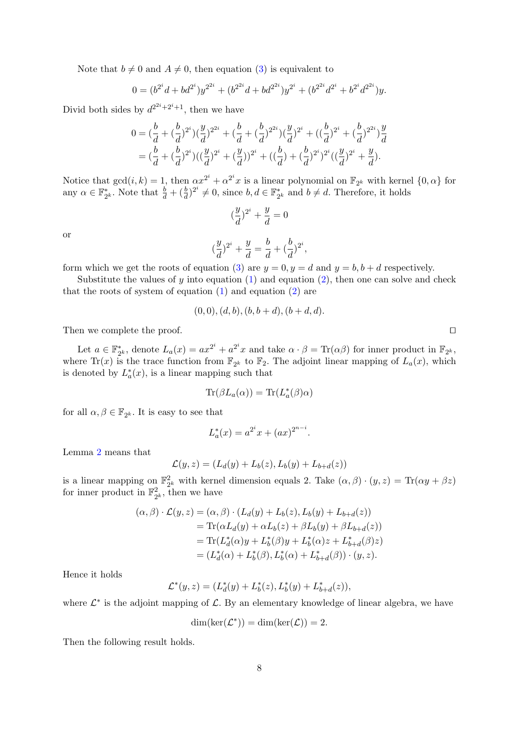Note that  $b \neq 0$  and  $A \neq 0$ , then equation [\(3\)](#page-6-0) is equivalent to

$$
0 = (b^{2^i}d + bd^{2^i})y^{2^{2i}} + (b^{2^{2i}}d + bd^{2^{2i}})y^{2^i} + (b^{2^{2i}}d^{2^i} + b^{2^i}d^{2^{2i}})y.
$$

Divid both sides by  $d^{2^{2i}+2^i+1}$ , then we have

$$
0 = \left(\frac{b}{d} + \left(\frac{b}{d}\right)^{2^i}\right)\left(\frac{y}{d}\right)^{2^{2i}} + \left(\frac{b}{d} + \left(\frac{b}{d}\right)^{2^{2i}}\right)\left(\frac{y}{d}\right)^{2^i} + \left(\left(\frac{b}{d}\right)^{2^i} + \left(\frac{b}{d}\right)^{2^{2i}}\right)\frac{y}{d}
$$
  
= 
$$
\left(\frac{b}{d} + \left(\frac{b}{d}\right)^{2^i}\right)\left(\left(\frac{y}{d}\right)^{2^i} + \left(\frac{y}{d}\right)\right)^{2^i} + \left(\left(\frac{b}{d}\right)^{2^i}\right)^{2^i}\left(\left(\frac{y}{d}\right)^{2^i} + \frac{y}{d}\right).
$$

Notice that  $gcd(i, k) = 1$ , then  $\alpha x^{2^i} + \alpha^{2^i} x$  is a linear polynomial on  $\mathbb{F}_{2^k}$  with kernel  $\{0, \alpha\}$  for any  $\alpha \in \mathbb{F}_2^*$ <sup>\*</sup><sub>2</sub><sup>k</sup>. Note that  $\frac{b}{d} + (\frac{b}{d})^{2^i} \neq 0$ , since  $b, d \in \mathbb{F}_2^*$  $_{2^k}^*$  and  $b \neq d$ . Therefore, it holds

$$
(\frac{y}{d})^{2^i} + \frac{y}{d} = 0
$$

or

 $\left(\frac{y}{y}\right)$  $\frac{y}{d}$ <sup>2<sup>i</sup></sup> +  $\frac{y}{d}$  $\frac{y}{d} = \frac{b}{d}$  $\frac{b}{d} + (\frac{b}{d})^{2^i},$ 

form which we get the roots of equation [\(3\)](#page-6-0) are  $y = 0, y = d$  and  $y = b, b + d$  respectively.

Substitute the values of y into equation  $(1)$  and equation  $(2)$ , then one can solve and check that the roots of system of equation  $(1)$  and equation  $(2)$  are

$$
(0,0), (d,b), (b,b+d), (b+d,d).
$$

Then we complete the proof.  $\Box$ 

Let  $a \in \mathbb{F}_2^*$ <sup>\*</sup><sub>2</sub><sup>k</sup>, denote  $L_a(x) = ax^{2^i} + a^{2^i}x$  and take  $\alpha \cdot \beta = \text{Tr}(\alpha \beta)$  for inner product in  $\mathbb{F}_{2^k}$ , where  $\text{Tr}(x)$  is the trace function from  $\mathbb{F}_{2^k}$  to  $\mathbb{F}_2$ . The adjoint linear mapping of  $L_a(x)$ , which is denoted by  $L_a^*(x)$ , is a linear mapping such that

$$
\text{Tr}(\beta L_a(\alpha)) = \text{Tr}(L_a^*(\beta)\alpha)
$$

for all  $\alpha, \beta \in \mathbb{F}_{2^k}$ . It is easy to see that

$$
L_a^*(x) = a^{2^i}x + (ax)^{2^{n-i}}.
$$

Lemma [2](#page-5-1) means that

$$
\mathcal{L}(y, z) = (L_d(y) + L_b(z), L_b(y) + L_{b+d}(z))
$$

is a linear mapping on  $\mathbb{F}_2^2$  $2\frac{2}{2^k}$  with kernel dimension equals 2. Take  $(\alpha, \beta) \cdot (y, z) = \text{Tr}(\alpha y + \beta z)$ for inner product in  $\mathbb{F}_2^2$  $x_2^2$ , then we have

$$
(\alpha, \beta) \cdot \mathcal{L}(y, z) = (\alpha, \beta) \cdot (L_d(y) + L_b(z), L_b(y) + L_{b+d}(z))
$$
  
= Tr( $\alpha L_d(y) + \alpha L_b(z) + \beta L_b(y) + \beta L_{b+d}(z)$ )  
= Tr( $L_d^*(\alpha)y + L_b^*(\beta)y + L_b^*(\alpha)z + L_{b+d}^*(\beta)z$ )  
= ( $L_d^*(\alpha) + L_b^*(\beta), L_b^*(\alpha) + L_{b+d}^*(\beta)) \cdot (y, z)$ .

Hence it holds

$$
\mathcal{L}^*(y, z) = (L_d^*(y) + L_b^*(z), L_b^*(y) + L_{b+d}^*(z)),
$$

where  $\mathcal{L}^*$  is the adjoint mapping of  $\mathcal{L}$ . By an elementary knowledge of linear algebra, we have

<span id="page-7-0"></span>
$$
\dim(\ker(\mathcal{L}^*))=\dim(\ker(\mathcal{L}))=2.
$$

Then the following result holds.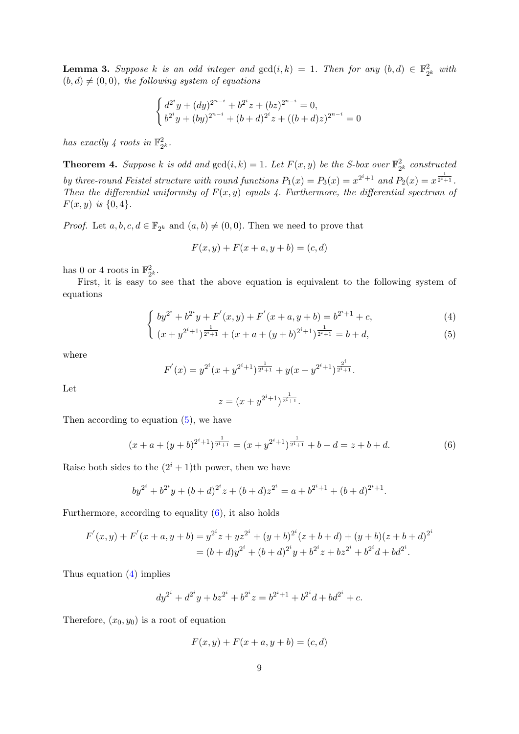**Lemma 3.** Suppose k is an odd integer and  $gcd(i,k) = 1$ . Then for any  $(b,d) \in \mathbb{F}_2^2$  $n_2^2$ <sub>k</sub> with  $(b, d) \neq (0, 0)$ , the following system of equations

$$
\begin{cases} d^{2^{i}}y + (dy)^{2^{n-i}} + b^{2^{i}}z + (bz)^{2^{n-i}} = 0, \\ b^{2^{i}}y + (by)^{2^{n-i}} + (b+d)^{2^{i}}z + ((b+d)z)^{2^{n-i}} = 0 \end{cases}
$$

has exactly 4 roots in  $\mathbb{F}_2^2$  $\frac{2}{2^k}$  .

<span id="page-8-0"></span>**Theorem 4.** Suppose k is odd and  $gcd(i,k) = 1$ . Let  $F(x, y)$  be the S-box over  $\mathbb{F}_2^2$  $n_{2k}^2$  constructed by three-round Feistel structure with round functions  $P_1(x) = P_3(x) = x^{2^i+1}$  and  $P_2(x) = x^{\frac{1}{2^i+1}}$ . Then the differential uniformity of  $F(x, y)$  equals 4. Furthermore, the differential spectrum of  $F(x, y)$  is  $\{0, 4\}.$ 

*Proof.* Let  $a, b, c, d \in \mathbb{F}_{2^k}$  and  $(a, b) \neq (0, 0)$ . Then we need to prove that

$$
F(x, y) + F(x + a, y + b) = (c, d)
$$

has 0 or 4 roots in  $\mathbb{F}_2^2$  $\frac{2}{2^k}$ .

First, it is easy to see that the above equation is equivalent to the following system of equations

$$
\int by^{2^{i}} + b^{2^{i}}y + F'(x, y) + F'(x + a, y + b) = b^{2^{i}+1} + c,
$$
\n(4)

$$
\int (x+y^{2^i+1})^{\frac{1}{2^i+1}} + (x+a+(y+b)^{2^i+1})^{\frac{1}{2^i+1}} = b+d,\tag{5}
$$

where

$$
F'(x) = y^{2^i}(x + y^{2^i+1})^{\frac{1}{2^i+1}} + y(x + y^{2^i+1})^{\frac{2^i}{2^i+1}}.
$$

Let

$$
z = (x + y^{2^i + 1})^{\frac{1}{2^i + 1}}.
$$

Then according to equation  $(5)$ , we have

<span id="page-8-1"></span>
$$
(x + a + (y + b)^{2^{i+1}})^{\frac{1}{2^{i+1}}} = (x + y^{2^{i+1}})^{\frac{1}{2^{i+1}}} + b + d = z + b + d.
$$
 (6)

Raise both sides to the  $(2^i + 1)$ th power, then we have

$$
by^{2^{i}} + b^{2^{i}}y + (b+d)^{2^{i}}z + (b+d)z^{2^{i}} = a + b^{2^{i}+1} + (b+d)^{2^{i}+1}.
$$

Furthermore, according to equality  $(6)$ , it also holds

$$
F'(x,y) + F'(x+a, y+b) = y^{2^i}z + yz^{2^i} + (y+b)^{2^i}(z+b+d) + (y+b)(z+b+d)^{2^i}
$$
  
=  $(b+d)y^{2^i} + (b+d)^{2^i}y + b^{2^i}z + bz^{2^i} + b^{2^i}d + bd^{2^i}$ .

Thus equation [\(4\)](#page-8-0) implies

$$
dy^{2^i} + d^{2^i}y + bz^{2^i} + b^{2^i}z = b^{2^i+1} + b^{2^i}d + bd^{2^i} + c.
$$

Therefore,  $(x_0, y_0)$  is a root of equation

$$
F(x, y) + F(x + a, y + b) = (c, d)
$$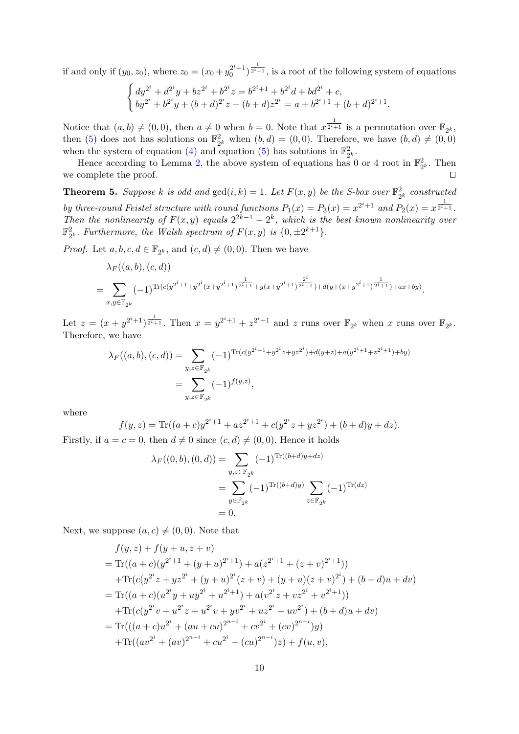if and only if  $(y_0, z_0)$ , where  $z_0 = (x_0 + y_0^{2^i+1})^{\frac{1}{2^i+1}}$ , is a root of the following system of equations

$$
\begin{cases} dy^{2^i} + d^{2^i}y + bz^{2^i} + b^{2^i}z = b^{2^i+1} + b^{2^i}d + bd^{2^i} + c, \\ by^{2^i} + b^{2^i}y + (b+d)^{2^i}z + (b+d)z^{2^i} = a + b^{2^i+1} + (b+d)^{2^i+1}.\end{cases}
$$

Notice that  $(a, b) \neq (0, 0)$ , then  $a \neq 0$  when  $b = 0$ . Note that  $x^{\frac{1}{2^{i+1}}}$  is a permutation over  $\mathbb{F}_{2^k}$ , then [\(5\)](#page-8-0) does not has solutions on  $\mathbb{F}_2^2$  $a_{2k}^{2}$  when  $(b, d) = (0, 0)$ . Therefore, we have  $(b, d) \neq (0, 0)$ when the system of equation [\(4\)](#page-8-0) and equation [\(5\)](#page-8-0) has solutions in  $\mathbb{F}_2^2$  $\frac{2}{2^k}$ .

Hence according to Lemma [2,](#page-5-1) the above system of equations has 0 or 4 root in  $\mathbb{F}_2^2$  $2^2_k$ . Then we complete the proof.

<span id="page-9-0"></span>**Theorem 5.** Suppose k is odd and  $gcd(i,k) = 1$ . Let  $F(x, y)$  be the S-box over  $\mathbb{F}_2^2$  $n_{2k}^2$  constructed by three-round Feistel structure with round functions  $P_1(x) = P_3(x) = x^{2^i+1}$  and  $P_2(x) = x^{\frac{1}{2^i+1}}$ . Then the nonlinearity of  $F(x, y)$  equals  $2^{2k-1} - 2^k$ , which is the best known nonlinearity over  $\mathbb{F}_2^2$  $_{2^k}^2$ . Furthermore, the Walsh spectrum of  $F(x, y)$  is  $\{0, \pm 2^{k+1}\}.$ 

*Proof.* Let  $a, b, c, d \in \mathbb{F}_{2^k}$ , and  $(c, d) \neq (0, 0)$ . Then we have

$$
\lambda_F((a,b),(c,d))
$$
\n
$$
= \sum_{x,y \in \mathbb{F}_{2^k}} (-1)^{\text{Tr}(c(y^{2^i+1}+y^{2^i}(x+y^{2^i+1})^{\frac{1}{2^i+1}}+y(x+y^{2^i+1})^{\frac{2^i}{2^i+1}})+d(y+(x+y^{2^i+1})^{\frac{1}{2^i+1}})+ax+by}
$$

.

Let  $z = (x + y^{2^i+1})^{\frac{1}{2^i+1}}$ . Then  $x = y^{2^i+1} + z^{2^i+1}$  and z runs over  $\mathbb{F}_{2^k}$  when x runs over  $\mathbb{F}_{2^k}$ . Therefore, we have

$$
\lambda_F((a,b),(c,d)) = \sum_{y,z \in \mathbb{F}_{2^k}} (-1)^{\text{Tr}(c(y^{2^i+1}+y^{2^i}z+yz^{2^i})+d(y+z)+a(y^{2^i+1}+z^{2^i+1})+by)}
$$
  
= 
$$
\sum_{y,z \in \mathbb{F}_{2^k}} (-1)^{f(y,z)},
$$

where

$$
f(y, z) = \text{Tr}((a + c)y^{2^{i}+1} + az^{2^{i}+1} + c(y^{2^{i}}z + yz^{2^{i}}) + (b + d)y + dz).
$$

Firstly, if  $a = c = 0$ , then  $d \neq 0$  since  $(c, d) \neq (0, 0)$ . Hence it holds

$$
\lambda_F((0, b), (0, d)) = \sum_{y, z \in \mathbb{F}_{2^k}} (-1)^{\text{Tr}((b+d)y + dz)}
$$
  
= 
$$
\sum_{y \in \mathbb{F}_{2^k}} (-1)^{\text{Tr}((b+d)y)} \sum_{z \in \mathbb{F}_{2^k}} (-1)^{\text{Tr}(dz)}
$$
  
= 0.

Next, we suppose  $(a, c) \neq (0, 0)$ . Note that

$$
f(y, z) + f(y + u, z + v)
$$
  
= Tr $((a + c)(y^{2^{i}+1} + (y + u)^{2^{i}+1}) + a(z^{2^{i}+1} + (z + v)^{2^{i}+1}))$   
+ Tr $(c(y^{2^{i}}z + yz^{2^{i}} + (y + u)^{2^{i}}(z + v) + (y + u)(z + v)^{2^{i}}) + (b + d)u + dv)$   
= Tr $((a + c)(u^{2^{i}}y + uy^{2^{i}} + u^{2^{i}+1}) + a(v^{2^{i}}z + vz^{2^{i}} + v^{2^{i}+1}))$   
+ Tr $(c(y^{2^{i}}v + u^{2^{i}}z + u^{2^{i}}v + yv^{2^{i}} + uz^{2^{i}} + uv^{2^{i}}) + (b + d)u + dv)$   
= Tr $((a + c)u^{2^{i}} + (au + cu)^{2^{n-i}} + cv^{2^{i}} + (cv)^{2^{n-i}})y)$   
+ Tr $((av^{2^{i}} + (av)^{2^{n-i}} + cu^{2^{i}} + (cu)^{2^{n-i}})z) + f(u, v),$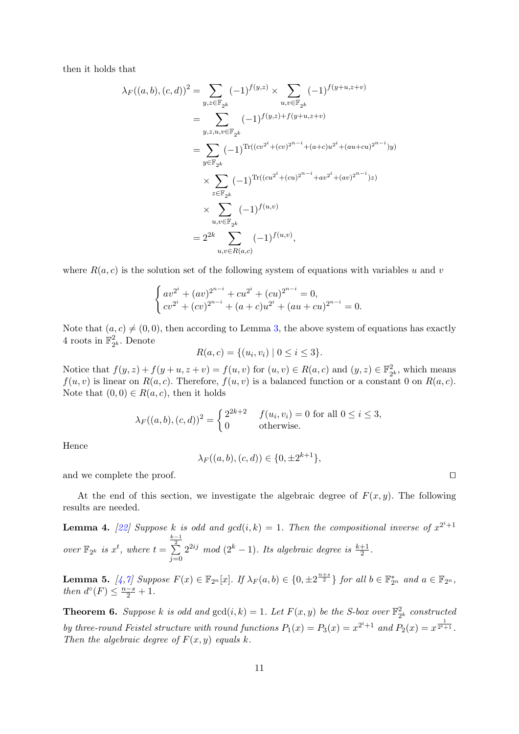then it holds that

$$
\lambda_F((a,b),(c,d))^2 = \sum_{y,z \in \mathbb{F}_{2^k}} (-1)^{f(y,z)} \times \sum_{u,v \in \mathbb{F}_{2^k}} (-1)^{f(y+u,z+v)}
$$
  
\n
$$
= \sum_{y,z,u,v \in \mathbb{F}_{2^k}} (-1)^{f(y,z)+f(y+u,z+v)}
$$
  
\n
$$
= \sum_{y \in \mathbb{F}_{2^k}} (-1)^{\text{Tr}((cv^{2^i}+(cv)^{2^{n-i}}+(a+c)u^{2^i}+(au+cu)^{2^{n-i}})y)}
$$
  
\n
$$
\times \sum_{z \in \mathbb{F}_{2^k}} (-1)^{\text{Tr}((cu^{2^i}+(cu)^{2^{n-i}}+av^{2^i}+(av)^{2^{n-i}})z)}
$$
  
\n
$$
\times \sum_{u,v \in \mathbb{F}_{2^k}} (-1)^{f(u,v)}
$$
  
\n
$$
= 2^{2k} \sum_{u,v \in R(a,c)} (-1)^{f(u,v)},
$$

where  $R(a, c)$  is the solution set of the following system of equations with variables u and v

$$
\begin{cases} av^{2^i} + (av)^{2^{n-i}} + cu^{2^i} + (cu)^{2^{n-i}} = 0, \\ cv^{2^i} + (cv)^{2^{n-i}} + (a+c)u^{2^i} + (au+cu)^{2^{n-i}} = 0. \end{cases}
$$

Note that  $(a, c) \neq (0, 0)$ , then according to Lemma [3,](#page-7-0) the above system of equations has exactly 4 roots in  $\mathbb{F}_2^2$  $2 \n<sub>2</sub>k$ . Denote

$$
R(a, c) = \{(u_i, v_i) \mid 0 \le i \le 3\}.
$$

Notice that  $f(y, z) + f(y + u, z + v) = f(u, v)$  for  $(u, v) \in R(a, c)$  and  $(y, z) \in \mathbb{F}_2^2$  $x_2^2$ , which means  $f(u, v)$  is linear on  $R(a, c)$ . Therefore,  $f(u, v)$  is a balanced function or a constant 0 on  $R(a, c)$ . Note that  $(0, 0) \in R(a, c)$ , then it holds

$$
\lambda_F((a,b),(c,d))^2 = \begin{cases} 2^{2k+2} & f(u_i,v_i) = 0 \text{ for all } 0 \le i \le 3, \\ 0 & \text{otherwise.} \end{cases}
$$

Hence

$$
\lambda_F((a,b),(c,d)) \in \{0, \pm 2^{k+1}\},\
$$

and we complete the proof.  $\Box$ 

At the end of this section, we investigate the algebraic degree of  $F(x, y)$ . The following results are needed.

<span id="page-10-1"></span>**Lemma 4.** [\[22\]](#page-15-9) Suppose k is odd and  $gcd(i,k) = 1$ . Then the compositional inverse of  $x^{2^i+1}$ over  $\mathbb{F}_{2^k}$  is  $x^t,$  where  $t=$  $\frac{k-1}{2}$  $j=0$  $2^{2ij} \mod (2^k - 1)$ . Its algebraic degree is  $\frac{k+1}{2}$ .

<span id="page-10-0"></span>**Lemma 5.**  $[4,7]$  $[4,7]$  Suppose  $F(x) \in \mathbb{F}_{2^n}[x]$ . If  $\lambda_F(a,b) \in \{0, \pm 2^{\frac{n+s}{2}}\}$  for all  $b \in \mathbb{F}_{2^n}^*$  and  $a \in \mathbb{F}_{2^n}$ , then  $d^{\circ}(F) \leq \frac{n-s}{2} + 1$ .

**Theorem 6.** Suppose k is odd and  $gcd(i,k) = 1$ . Let  $F(x, y)$  be the S-box over  $\mathbb{F}_2^2$  $n_2^2$ <sub>k</sub> constructed by three-round Feistel structure with round functions  $P_1(x) = P_3(x) = x^{2^i+1}$  and  $P_2(x) = x^{\frac{1}{2^i+1}}$ . Then the algebraic degree of  $F(x, y)$  equals k.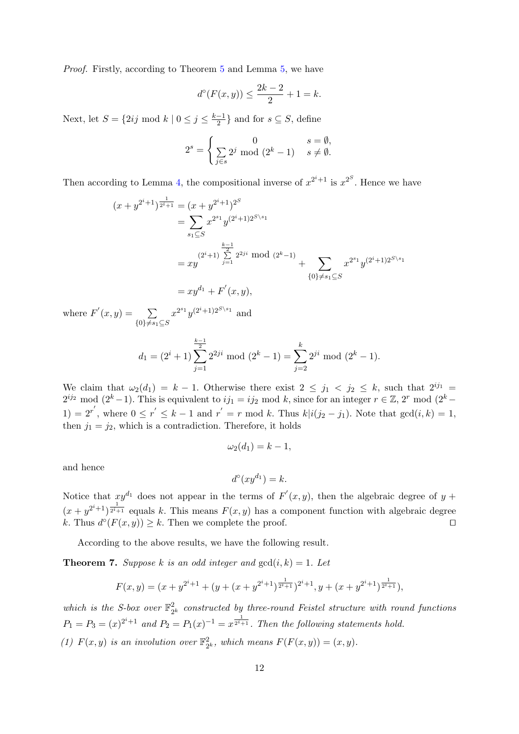Proof. Firstly, according to Theorem [5](#page-9-0) and Lemma [5,](#page-10-0) we have

$$
d^{\circ}(F(x, y)) \le \frac{2k - 2}{2} + 1 = k.
$$

Next, let  $S = \{2ij \text{ mod } k \mid 0 \leq j \leq \frac{k-1}{2} \}$  $\frac{-1}{2}$  and for  $s \subseteq S$ , define

$$
2^s = \begin{cases} 0 & s = \emptyset, \\ \sum_{j \in s} 2^j \bmod (2^k - 1) & s \neq \emptyset. \end{cases}
$$

Then according to Lemma [4,](#page-10-1) the compositional inverse of  $x^{2^i+1}$  is  $x^{2^S}$ . Hence we have

$$
(x + y^{2^{i+1}})^{\frac{1}{2^{i+1}}} = (x + y^{2^{i+1}})^{2^{S}}
$$
  
= 
$$
\sum_{s_1 \subseteq S} x^{2^{s_1}} y^{(2^{i+1})2^{S \setminus s_1}}
$$
  
= 
$$
\sum_{s_1 \subseteq S} (2^{i+1})^{\frac{k-1}{2}} z^{2^{i}j} \mod (2^k - 1)
$$
  
= 
$$
xy^{d_1} + F'(x, y),
$$

where  $F'(x, y) = \sum$  $\{0\} \neq s_1 \subseteq S$  $x^{2^{s_1}}y^{(2^i+1)2^{S\setminus s_1}}$  and

$$
d_1 = (2^i + 1) \sum_{j=1}^{\frac{k-1}{2}} 2^{2ji} \mod (2^k - 1) = \sum_{j=2}^k 2^{ji} \mod (2^k - 1).
$$

We claim that  $\omega_2(d_1) = k - 1$ . Otherwise there exist  $2 \leq j_1 < j_2 \leq k$ , such that  $2^{ij_1} =$  $2^{ij_2} \mod (2^k-1)$ . This is equivalent to  $ij_1 = ij_2 \mod k$ , since for an integer  $r \in \mathbb{Z}$ ,  $2^r \mod (2^k-1)$ . 1) =  $2^{r'}$ , where  $0 \leq r' \leq k-1$  and  $r' = r \mod k$ . Thus  $k|i(j_2 - j_1)|$ . Note that  $gcd(i, k) = 1$ , then  $j_1 = j_2$ , which is a contradiction. Therefore, it holds

$$
\omega_2(d_1) = k - 1,
$$

and hence

$$
d^{\circ}(xy^{d_1}) = k.
$$

Notice that  $xy^{d_1}$  does not appear in the terms of  $F'(x, y)$ , then the algebraic degree of  $y +$  $(x + y^{2^{i}+1})^{\frac{1}{2^{i}+1}}$  equals k. This means  $F(x, y)$  has a component function with algebraic degree k. Thus  $d^{\circ}(F(x, y)) \geq k$ . Then we complete the proof.

According to the above results, we have the following result.

<span id="page-11-0"></span>**Theorem 7.** Suppose k is an odd integer and  $gcd(i, k) = 1$ . Let

$$
F(x,y) = (x + y^{2^{i}+1} + (y + (x + y^{2^{i}+1})^{\frac{1}{2^{i}+1}})^{2^{i}+1}, y + (x + y^{2^{i}+1})^{\frac{1}{2^{i}+1}}),
$$

which is the S-box over  $\mathbb{F}_2^2$  $\frac{2}{2^k}$  constructed by three-round Feistel structure with round functions  $P_1 = P_3 = (x)^{2^i+1}$  and  $P_2 = P_1(x)^{-1} = x^{\frac{1}{2^i+1}}$ . Then the following statements hold.

(1)  $F(x, y)$  is an involution over  $\mathbb{F}_2^2$  $x_{2^k}^2$ , which means  $F(F(x, y)) = (x, y)$ .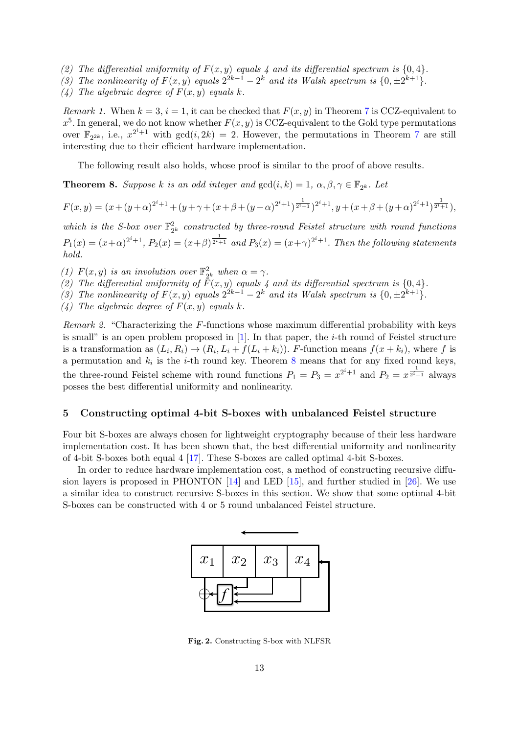- (2) The differential uniformity of  $F(x, y)$  equals 4 and its differential spectrum is  $\{0, 4\}.$
- (3) The nonlinearity of  $F(x, y)$  equals  $2^{2k-1} 2^k$  and its Walsh spectrum is  $\{0, \pm 2^{k+1}\}.$
- (4) The algebraic degree of  $F(x, y)$  equals k.

Remark 1. When  $k = 3$ ,  $i = 1$ , it can be checked that  $F(x, y)$  in Theorem [7](#page-11-0) is CCZ-equivalent to  $x^5$ . In general, we do not know whether  $F(x, y)$  is CCZ-equivalent to the Gold type permutations over  $\mathbb{F}_{2^{2k}}$ , i.e.,  $x^{2^i+1}$  with  $gcd(i, 2k) = 2$ . However, the permutations in Theorem [7](#page-11-0) are still interesting due to their efficient hardware implementation.

The following result also holds, whose proof is similar to the proof of above results.

<span id="page-12-1"></span>**Theorem 8.** Suppose k is an odd integer and  $gcd(i,k) = 1, \alpha, \beta, \gamma \in \mathbb{F}_{2^k}$ . Let

$$
F(x,y) = (x + (y + \alpha)^{2^{i}+1} + (y + \gamma + (x + \beta + (y + \alpha)^{2^{i}+1})^{\frac{1}{2^{i}+1}})^{2^{i}+1}, y + (x + \beta + (y + \alpha)^{2^{i}+1})^{\frac{1}{2^{i}+1}}),
$$

which is the S-box over  $\mathbb{F}_2^2$  $\frac{2}{2^k}$  constructed by three-round Feistel structure with round functions  $P_1(x) = (x+\alpha)^{2^i+1}, P_2(x) = (x+\beta)^{\frac{1}{2^i+1}}$  and  $P_3(x) = (x+\gamma)^{2^i+1}$ . Then the following statements hold.

- (1)  $F(x, y)$  is an involution over  $\mathbb{F}_2^2$  $\frac{2}{2^k}$  when  $\alpha = \gamma$ .
- (2) The differential uniformity of  $F(x, y)$  equals 4 and its differential spectrum is  $\{0, 4\}$ .
- (3) The nonlinearity of  $F(x, y)$  equals  $2^{2k-1} 2^k$  and its Walsh spectrum is  $\{0, \pm 2^{k+1}\}.$
- (4) The algebraic degree of  $F(x, y)$  equals k.

*Remark 2.* "Characterizing the F-functions whose maximum differential probability with keys is small" is an open problem proposed in  $[1]$ . In that paper, the *i*-th round of Feistel structure is a transformation as  $(L_i, R_i) \to (R_i, L_i + f(L_i + k_i))$ . F-function means  $f(x + k_i)$ , where f is a permutation and  $k_i$  is the *i*-th round key. Theorem [8](#page-12-1) means that for any fixed round keys, the three-round Feistel scheme with round functions  $P_1 = P_3 = x^{2^i+1}$  and  $P_2 = x^{\frac{1}{2^i+1}}$  always posses the best differential uniformity and nonlinearity.

#### <span id="page-12-0"></span>5 Constructing optimal 4-bit S-boxes with unbalanced Feistel structure

Four bit S-boxes are always chosen for lightweight cryptography because of their less hardware implementation cost. It has been shown that, the best differential uniformity and nonlinearity of 4-bit S-boxes both equal 4 [\[17\]](#page-15-5). These S-boxes are called optimal 4-bit S-boxes.

In order to reduce hardware implementation cost, a method of constructing recursive diffusion layers is proposed in PHONTON [\[14\]](#page-15-20) and LED [\[15\]](#page-15-21), and further studied in [\[26\]](#page-15-22). We use a similar idea to construct recursive S-boxes in this section. We show that some optimal 4-bit S-boxes can be constructed with 4 or 5 round unbalanced Feistel structure.



<span id="page-12-2"></span>Fig. 2. Constructing S-box with NLFSR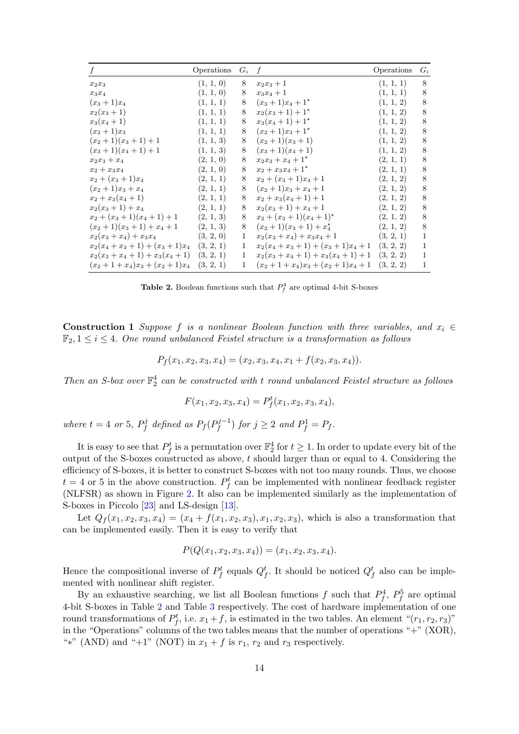|                                     | Operations $G_i$ f |   |                                                   | Operations | $G_i$ |
|-------------------------------------|--------------------|---|---------------------------------------------------|------------|-------|
| $x_2x_3$                            | (1, 1, 0)          | 8 | $x_2x_3+1$                                        | (1, 1, 1)  | 8     |
| $x_3x_4$                            | (1, 1, 0)          | 8 | $x_3x_4+1$                                        | (1, 1, 1)  | 8     |
| $(x_3+1)x_4$                        | (1, 1, 1)          | 8 | $(x_3+1)x_4+1$ <sup>*</sup>                       | (1, 1, 2)  | 8     |
| $x_2(x_3+1)$                        | (1, 1, 1)          | 8 | $x_2(x_3+1)+1$ *                                  | (1, 1, 2)  | 8     |
| $x_3(x_4+1)$                        | (1, 1, 1)          | 8 | $x_3(x_4+1)+1$ *                                  | (1, 1, 2)  | 8     |
| $(x_2+1)x_3$                        | (1, 1, 1)          | 8 | $(x_2+1)x_3+1$ <sup>*</sup>                       | (1, 1, 2)  | 8     |
| $(x_2+1)(x_3+1)+1$                  | (1, 1, 3)          | 8 | $(x_2+1)(x_3+1)$                                  | (1, 1, 2)  | 8     |
| $(x_3+1)(x_4+1)+1$                  | (1, 1, 3)          | 8 | $(x_3+1)(x_4+1)$                                  | (1, 1, 2)  | 8     |
| $x_2x_3 + x_4$                      | (2, 1, 0)          | 8 | $x_2x_3 + x_4 + 1^*$                              | (2, 1, 1)  | 8     |
| $x_2 + x_3x_4$                      | (2, 1, 0)          | 8 | $x_2 + x_3x_4 + 1$ *                              | (2, 1, 1)  | 8     |
| $x_2 + (x_3 + 1)x_4$                | (2, 1, 1)          | 8 | $x_2 + (x_3 + 1)x_4 + 1$                          | (2, 1, 2)  | 8     |
| $(x_2+1)x_3+x_4$                    | (2, 1, 1)          | 8 | $(x_2+1)x_3+x_4+1$                                | (2, 1, 2)  | 8     |
| $x_2+x_3(x_4+1)$                    | (2, 1, 1)          | 8 | $x_2 + x_3(x_4 + 1) + 1$                          | (2, 1, 2)  | 8     |
| $x_2(x_3+1)+x_4$                    | (2, 1, 1)          | 8 | $x_2(x_3+1)+x_4+1$                                | (2, 1, 2)  | 8     |
| $x_2 + (x_3 + 1)(x_4 + 1) + 1$      | (2, 1, 3)          | 8 | $x_2 + (x_3 + 1)(x_4 + 1)^{\star}$                | (2, 1, 2)  | 8     |
| $(x_2+1)(x_3+1)+x_4+1$              | (2, 1, 3)          | 8 | $(x_2+1)(x_3+1)+x_4^*$                            | (2, 1, 2)  | 8     |
| $x_2(x_3+x_4)+x_3x_4$               | (3, 2, 0)          | 1 | $x_2(x_3+x_4)+x_3x_4+1$                           | (3, 2, 1)  | 1     |
| $x_2(x_4+x_3+1)+(x_3+1)x_4$         | (3, 2, 1)          | 1 | $x_2(x_4+x_3+1)+(x_3+1)x_4+1$                     | (3, 2, 2)  | 1     |
| $x_2(x_3 + x_4 + 1) + x_3(x_4 + 1)$ | (3, 2, 1)          | 1 | $x_2(x_3 + x_4 + 1) + x_3(x_4 + 1) + 1$ (3, 2, 2) |            | 1     |
| $(x_2+1+x_4)x_3+(x_2+1)x_4$         | (3, 2, 1)          | 1 | $(x_2+1+x_4)x_3+(x_2+1)x_4+1$                     | (3, 2, 2)  | 1     |

<span id="page-13-0"></span>**Table 2.** Boolean functions such that  $P_f^4$  are optimal 4-bit S-boxes

**Construction 1** Suppose f is a nonlinear Boolean function with three variables, and  $x_i \in$  $\mathbb{F}_2$ ,  $1 \leq i \leq 4$ . One round unbalanced Feistel structure is a transformation as follows

$$
P_f(x_1, x_2, x_3, x_4) = (x_2, x_3, x_4, x_1 + f(x_2, x_3, x_4)).
$$

Then an S-box over  $\mathbb{F}_2^4$  can be constructed with t round unbalanced Feistel structure as follows

$$
F(x_1, x_2, x_3, x_4) = P_f^t(x_1, x_2, x_3, x_4),
$$

where  $t = 4$  or 5,  $P_f^j$  $\frac{p^j_f}{f}$  defined as  $P_f(P_f^{j-1})$  $f^{(j-1)}$  for  $j \geq 2$  and  $P_f^1 = P_f$ .

It is easy to see that  $P_f^t$  is a permutation over  $\mathbb{F}_2^4$  for  $t \geq 1$ . In order to update every bit of the output of the S-boxes constructed as above, t should larger than or equal to 4. Considering the efficiency of S-boxes, it is better to construct S-boxes with not too many rounds. Thus, we choose  $t = 4$  or 5 in the above construction.  $P_f^t$  can be implemented with nonlinear feedback register (NLFSR) as shown in Figure [2.](#page-12-2) It also can be implemented similarly as the implementation of S-boxes in Piccolo [\[23\]](#page-15-23) and LS-design [\[13\]](#page-15-24).

Let  $Q_f(x_1, x_2, x_3, x_4) = (x_4 + f(x_1, x_2, x_3), x_1, x_2, x_3)$ , which is also a transformation that can be implemented easily. Then it is easy to verify that

$$
P(Q(x_1, x_2, x_3, x_4)) = (x_1, x_2, x_3, x_4).
$$

Hence the compositional inverse of  $P_f^t$  equals  $Q_f^t$ . It should be noticed  $Q_f^t$  also can be implemented with nonlinear shift register.

By an exhaustive searching, we list all Boolean functions f such that  $P_f^4$ ,  $P_f^5$  are optimal 4-bit S-boxes in Table [2](#page-13-0) and Table [3](#page-14-1) respectively. The cost of hardware implementation of one round transformations of  $P_f^t$ , i.e.  $x_1 + f$ , is estimated in the two tables. An element " $(r_1, r_2, r_3)$ " in the "Operations" columns of the two tables means that the number of operations "+" (XOR), "\*" (AND) and "+1" (NOT) in  $x_1 + f$  is  $r_1, r_2$  and  $r_3$  respectively.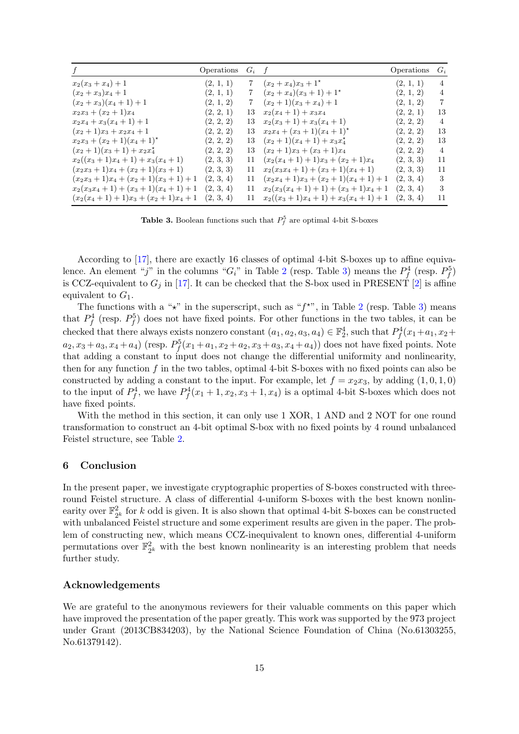|                                   | Operations $G_i$ f |                |                                    | Operations $G_i$ |    |
|-----------------------------------|--------------------|----------------|------------------------------------|------------------|----|
| $x_2(x_3+x_4)+1$                  | (2, 1, 1)          | $7^{\circ}$    | $(x_2+x_4)x_3+1$ *                 | (2, 1, 1)        | 4  |
| $(x_2+x_3)x_4+1$                  | (2, 1, 1)          | $7\phantom{.}$ | $(x_2+x_4)(x_3+1)+1$ *             | (2, 1, 2)        | 4  |
| $(x_2+x_3)(x_4+1)+1$              | (2, 1, 2)          | $7^{\circ}$    | $(x_2+1)(x_3+x_4)+1$               | (2, 1, 2)        | 7  |
| $x_2x_3 + (x_2 + 1)x_4$           | (2, 2, 1)          | 13             | $x_2(x_4+1)+x_3x_4$                | (2, 2, 1)        | 13 |
| $x_2x_4+x_3(x_4+1)+1$             | (2, 2, 2)          | 13             | $x_2(x_3+1)+x_3(x_4+1)$            | (2, 2, 2)        | 4  |
| $(x_2+1)x_3+x_2x_4+1$             | (2, 2, 2)          | 13             | $x_2x_4 + (x_3 + 1)(x_4 + 1)^{*}$  | (2, 2, 2)        | 13 |
| $x_2x_3 + (x_2 + 1)(x_4 + 1)^{*}$ | (2, 2, 2)          | 13             | $(x_2+1)(x_4+1)+x_3x_4^*$          | (2, 2, 2)        | 13 |
| $(x_2+1)(x_3+1)+x_2x_4^{\star}$   | (2, 2, 2)          | 13             | $(x_2+1)x_3+(x_3+1)x_4$            | (2, 2, 2)        | 4  |
| $x_2((x_3+1)x_4+1)+x_3(x_4+1)$    | (2, 3, 3)          | 11             | $(x_2(x_4+1)+1)x_3+(x_2+1)x_4$     | (2, 3, 3)        | 11 |
| $(x_2x_3+1)x_4+(x_2+1)(x_3+1)$    | (2, 3, 3)          | 11             | $x_2(x_3x_4+1)+(x_3+1)(x_4+1)$     | (2, 3, 3)        | 11 |
| $(x_2x_3+1)x_4+(x_2+1)(x_3+1)+1$  | (2, 3, 4)          | 11             | $(x_2x_4+1)x_3+(x_2+1)(x_4+1)+1$   | (2, 3, 4)        | 3  |
| $x_2(x_3x_4+1)+(x_3+1)(x_4+1)+1$  | (2, 3, 4)          | 11             | $x_2(x_3(x_4+1)+1) + (x_3+1)x_4+1$ | (2, 3, 4)        | 3  |
| $(x_2(x_4+1)+1)x_3+(x_2+1)x_4+1$  | (2, 3, 4)          | 11             | $x_2((x_3+1)x_4+1)+x_3(x_4+1)+1$   | (2, 3, 4)        | 11 |

<span id="page-14-1"></span>**Table 3.** Boolean functions such that  $P_f^5$  are optimal 4-bit S-boxes

According to [\[17\]](#page-15-5), there are exactly 16 classes of optimal 4-bit S-boxes up to affine equivalence. An element "j" in the columns " $G_i$ " in Table [2](#page-13-0) (resp. Table [3\)](#page-14-1) means the  $P_f^4$  (resp.  $P_f^5$ ) is CCZ-equivalent to  $G_j$  in [\[17\]](#page-15-5). It can be checked that the S-box used in PRESENT [\[2\]](#page-15-25) is affine equivalent to  $G_1$ .

The functions with a " $\star$ " in the superscript, such as " $f^{\star}$ ", in Table [2](#page-13-0) (resp. Table [3\)](#page-14-1) means that  $P_f^4$  (resp.  $P_f^5$ ) does not have fixed points. For other functions in the two tables, it can be checked that there always exists nonzero constant  $(a_1, a_2, a_3, a_4) \in \mathbb{F}_2^4$ , such that  $P_f^4(x_1 + a_1, x_2 + a_3)$  $a_2, x_3 + a_3, x_4 + a_4$  (resp.  $P_f^5(x_1 + a_1, x_2 + a_2, x_3 + a_3, x_4 + a_4)$ ) does not have fixed points. Note that adding a constant to input does not change the differential uniformity and nonlinearity, then for any function  $f$  in the two tables, optimal 4-bit S-boxes with no fixed points can also be constructed by adding a constant to the input. For example, let  $f = x_2x_3$ , by adding  $(1, 0, 1, 0)$ to the input of  $P_f^4$ , we have  $P_f^4(x_1+1, x_2, x_3+1, x_4)$  is a optimal 4-bit S-boxes which does not have fixed points.

With the method in this section, it can only use 1 XOR, 1 AND and 2 NOT for one round transformation to construct an 4-bit optimal S-box with no fixed points by 4 round unbalanced Feistel structure, see Table [2.](#page-13-0)

## <span id="page-14-0"></span>6 Conclusion

In the present paper, we investigate cryptographic properties of S-boxes constructed with threeround Feistel structure. A class of differential 4-uniform S-boxes with the best known nonlinearity over  $\mathbb{F}_2^2$  $\frac{2}{2^k}$  for k odd is given. It is also shown that optimal 4-bit S-boxes can be constructed with unbalanced Feistel structure and some experiment results are given in the paper. The problem of constructing new, which means CCZ-inequivalent to known ones, differential 4-uniform permutations over  $\mathbb{F}_2^2$  $\frac{2}{2^k}$  with the best known nonlinearity is an interesting problem that needs further study.

## Acknowledgements

We are grateful to the anonymous reviewers for their valuable comments on this paper which have improved the presentation of the paper greatly. This work was supported by the 973 project under Grant (2013CB834203), by the National Science Foundation of China (No.61303255, No.61379142).